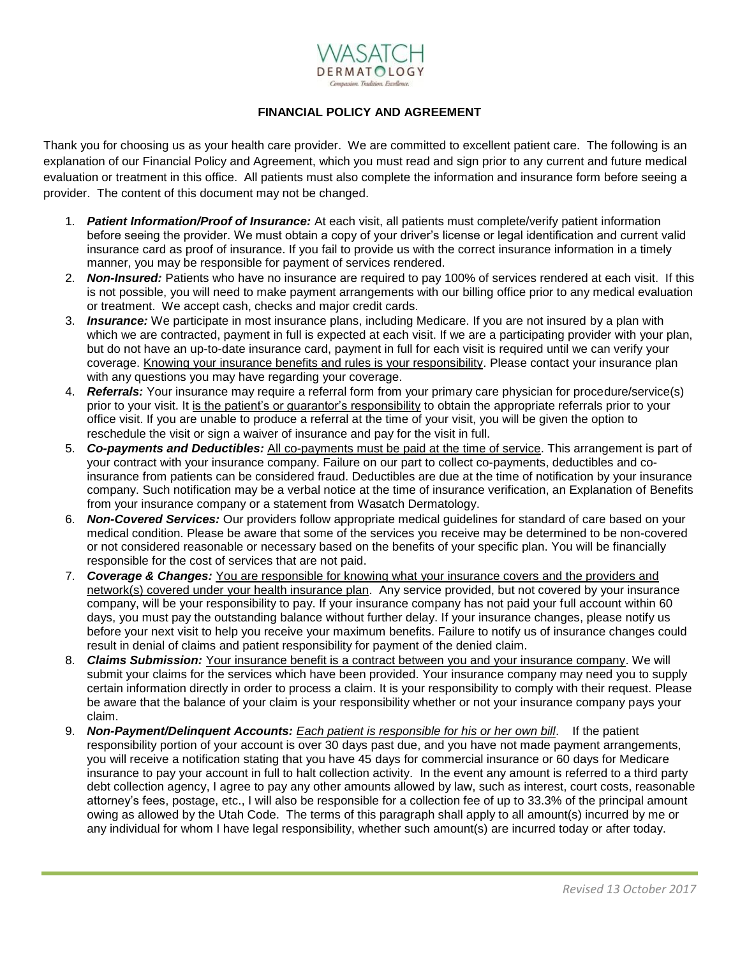

## **FINANCIAL POLICY AND AGREEMENT**

Thank you for choosing us as your health care provider. We are committed to excellent patient care. The following is an explanation of our Financial Policy and Agreement, which you must read and sign prior to any current and future medical evaluation or treatment in this office. All patients must also complete the information and insurance form before seeing a provider. The content of this document may not be changed.

- 1. *Patient Information/Proof of Insurance:* At each visit, all patients must complete/verify patient information before seeing the provider. We must obtain a copy of your driver's license or legal identification and current valid insurance card as proof of insurance. If you fail to provide us with the correct insurance information in a timely manner, you may be responsible for payment of services rendered.
- 2. *Non-Insured:* Patients who have no insurance are required to pay 100% of services rendered at each visit. If this is not possible, you will need to make payment arrangements with our billing office prior to any medical evaluation or treatment. We accept cash, checks and major credit cards.
- 3. *Insurance:* We participate in most insurance plans, including Medicare. If you are not insured by a plan with which we are contracted, payment in full is expected at each visit. If we are a participating provider with your plan, but do not have an up-to-date insurance card, payment in full for each visit is required until we can verify your coverage. Knowing your insurance benefits and rules is your responsibility. Please contact your insurance plan with any questions you may have regarding your coverage.
- 4. *Referrals:* Your insurance may require a referral form from your primary care physician for procedure/service(s) prior to your visit. It is the patient's or guarantor's responsibility to obtain the appropriate referrals prior to your office visit. If you are unable to produce a referral at the time of your visit, you will be given the option to reschedule the visit or sign a waiver of insurance and pay for the visit in full.
- 5. *Co-payments and Deductibles:* All co-payments must be paid at the time of service. This arrangement is part of your contract with your insurance company. Failure on our part to collect co-payments, deductibles and coinsurance from patients can be considered fraud. Deductibles are due at the time of notification by your insurance company. Such notification may be a verbal notice at the time of insurance verification, an Explanation of Benefits from your insurance company or a statement from Wasatch Dermatology.
- 6. *Non-Covered Services:* Our providers follow appropriate medical guidelines for standard of care based on your medical condition. Please be aware that some of the services you receive may be determined to be non-covered or not considered reasonable or necessary based on the benefits of your specific plan. You will be financially responsible for the cost of services that are not paid.
- 7. *Coverage & Changes:* You are responsible for knowing what your insurance covers and the providers and network(s) covered under your health insurance plan. Any service provided, but not covered by your insurance company, will be your responsibility to pay. If your insurance company has not paid your full account within 60 days, you must pay the outstanding balance without further delay. If your insurance changes, please notify us before your next visit to help you receive your maximum benefits. Failure to notify us of insurance changes could result in denial of claims and patient responsibility for payment of the denied claim.
- 8. *Claims Submission:* Your insurance benefit is a contract between you and your insurance company. We will submit your claims for the services which have been provided. Your insurance company may need you to supply certain information directly in order to process a claim. It is your responsibility to comply with their request. Please be aware that the balance of your claim is your responsibility whether or not your insurance company pays your claim.
- 9. *Non-Payment/Delinquent Accounts: Each patient is responsible for his or her own bill*. If the patient responsibility portion of your account is over 30 days past due, and you have not made payment arrangements, you will receive a notification stating that you have 45 days for commercial insurance or 60 days for Medicare insurance to pay your account in full to halt collection activity. In the event any amount is referred to a third party debt collection agency, I agree to pay any other amounts allowed by law, such as interest, court costs, reasonable attorney's fees, postage, etc., I will also be responsible for a collection fee of up to 33.3% of the principal amount owing as allowed by the Utah Code. The terms of this paragraph shall apply to all amount(s) incurred by me or any individual for whom I have legal responsibility, whether such amount(s) are incurred today or after today.